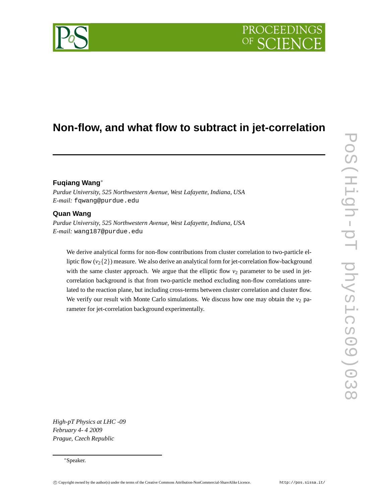# **Non-flow, and what flow to subtract in jet-correlation**

# **Fuqiang Wang**∗

*Purdue University, 525 Northwestern Avenue, West Lafayette, Indiana, USA E-mail:* fqwang@purdue.edu

# **Quan Wang**

*Purdue University, 525 Northwestern Avenue, West Lafayette, Indiana, USA E-mail:* wang187@purdue.edu

We derive analytical forms for non-flow contributions from cluster correlation to two-particle elliptic flow  $(v_2\{2\})$  measure. We also derive an analytical form for jet-correlation flow-background with the same cluster approach. We argue that the elliptic flow  $v_2$  parameter to be used in jetcorrelation background is that from two-particle method excluding non-flow correlations unrelated to the reaction plane, but including cross-terms between cluster correlation and cluster flow. We verify our result with Monte Carlo simulations. We discuss how one may obtain the  $v_2$  parameter for jet-correlation background experimentally.

*High-pT Physics at LHC -09 February 4- 4 2009 Prague, Czech Republic*

<sup>∗</sup>Speaker.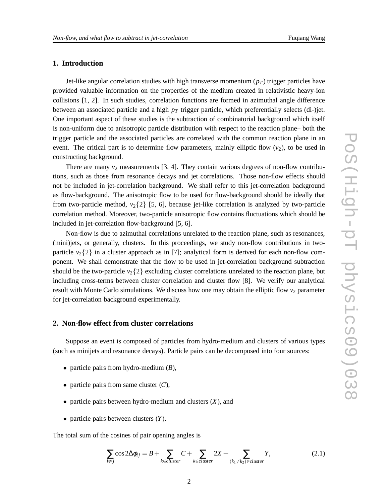# **1. Introduction**

Jet-like angular correlation studies with high transverse momentum  $(p_T)$  trigger particles have provided valuable information on the properties of the medium created in relativistic heavy-ion collisions [1, 2]. In such studies, correlation functions are formed in azimuthal angle difference between an associated particle and a high *p<sup>T</sup>* trigger particle, which preferentially selects (di-)jet. One important aspect of these studies is the subtraction of combinatorial background which itself is non-uniform due to anisotropic particle distribution with respect to the reaction plane– both the trigger particle and the associated particles are correlated with the common reaction plane in an event. The critical part is to determine flow parameters, mainly elliptic flow  $(v_2)$ , to be used in constructing background.

There are many  $v_2$  measurements [3, 4]. They contain various degrees of non-flow contributions, such as those from resonance decays and jet correlations. Those non-flow effects should not be included in jet-correlation background. We shall refer to this jet-correlation background as flow-background. The anisotropic flow to be used for flow-background should be ideally that from two-particle method,  $v_2$ {2} [5, 6], because jet-like correlation is analyzed by two-particle correlation method. Moreover, two-particle anisotropic flow contains fluctuations which should be included in jet-correlation flow-background [5, 6].

Non-flow is due to azimuthal correlations unrelated to the reaction plane, such as resonances, (mini)jets, or generally, clusters. In this proceedings, we study non-flow contributions in twoparticle  $v_2$ {2} in a cluster approach as in [7]; analytical form is derived for each non-flow component. We shall demonstrate that the flow to be used in jet-correlation background subtraction should be the two-particle  $v_2\{2\}$  excluding cluster correlations unrelated to the reaction plane, but including cross-terms between cluster correlation and cluster flow [8]. We verify our analytical result with Monte Carlo simulations. We discuss how one may obtain the elliptic flow  $v_2$  parameter for jet-correlation background experimentally.

#### **2. Non-flow effect from cluster correlations**

Suppose an event is composed of particles from hydro-medium and clusters of various types (such as minijets and resonance decays). Particle pairs can be decomposed into four sources:

- particle pairs from hydro-medium (*B*),
- particle pairs from same cluster (*C*),
- particle pairs between hydro-medium and clusters (*X*), and
- particle pairs between clusters (*Y*).

The total sum of the cosines of pair opening angles is

$$
\sum_{i \neq j} \cos 2\Delta \phi_{ij} = B + \sum_{k \in cluster} C + \sum_{k \in cluster} 2X + \sum_{(k_1 \neq k_2) \in cluster} Y,
$$
\n(2.1)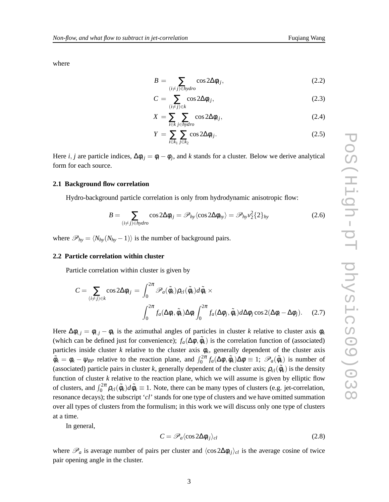where

$$
B = \sum_{(i \neq j) \in hydro} \cos 2\Delta \phi_{ij}, \qquad (2.2)
$$

$$
C = \sum_{(i \neq j) \in k} \cos 2\Delta \phi_{ij}, \qquad (2.3)
$$

$$
X = \sum_{i \in k} \sum_{j \in hydro} \cos 2\Delta \phi_{ij}, \qquad (2.4)
$$

$$
Y = \sum_{i \in k_1} \sum_{j \in k_2} \cos 2\Delta \phi_{ij}.
$$
 (2.5)

Here *i*, *j* are particle indices,  $\Delta \phi_{ij} = \phi_i - \phi_j$ , and *k* stands for a cluster. Below we derive analytical form for each source.

#### **2.1 Background flow correlation**

Hydro-background particle correlation is only from hydrodynamic anisotropic flow:

$$
B = \sum_{(i \neq j) \in hydro} \cos 2\Delta \phi_{ij} = \mathcal{P}_{hy} \langle \cos 2\Delta \phi_{hy} \rangle = \mathcal{P}_{hy} v_2^2 \{2\}_{hy}
$$
 (2.6)

where  $\mathcal{P}_{hv} = \langle N_{hv}(N_{hv} - 1) \rangle$  is the number of background pairs.

#### **2.2 Particle correlation within cluster**

Particle correlation within cluster is given by

$$
C = \sum_{(i \neq j) \in k} \cos 2\Delta \phi_{ij} = \int_0^{2\pi} \mathcal{P}_a(\tilde{\phi}_k) \rho_{cl}(\tilde{\phi}_k) d\tilde{\phi}_k \times
$$

$$
\int_0^{2\pi} f_a(\Delta \phi_i, \tilde{\phi}_k) \Delta \phi_i \int_0^{2\pi} f_a(\Delta \phi_j, \tilde{\phi}_k) d\Delta \phi_j \cos 2(\Delta \phi_i - \Delta \phi_j). \quad (2.7)
$$

Here  $\Delta \phi_{i,j} = \phi_{i,j} - \phi_k$  is the azimuthal angles of particles in cluster *k* relative to cluster axis  $\phi_k$ (which can be defined just for convenience);  $f_a(\Delta \phi, \tilde{\phi}_k)$  is the correlation function of (associated) particles inside cluster  $k$  relative to the cluster axis  $\phi_k$ , generally dependent of the cluster axis  $\tilde{\phi}_k = \phi_k - \psi_{RP}$  relative to the reaction plane, and  $\int_0^{2\pi} f_a(\Delta \phi, \tilde{\phi}_k) \Delta \phi \equiv 1$ ;  $\mathscr{P}_a(\tilde{\phi}_k)$  is number of (associated) particle pairs in cluster *k*, generally dependent of the cluster axis;  $\rho_{cl}(\tilde{\phi}_k)$  is the density function of cluster *k* relative to the reaction plane, which we will assume is given by elliptic flow of clusters, and  $\int_0^{2\pi} \rho_{cl}(\tilde{\phi}_k) d\tilde{\phi}_k \equiv 1$ . Note, there can be many types of clusters (e.g. jet-correlation, resonance decays); the subscript '*cl*' stands for one type of clusters and we have omitted summation over all types of clusters from the formulism; in this work we will discuss only one type of clusters at a time.

In general,

$$
C = \mathscr{P}_a \langle \cos 2\Delta \phi_{ij} \rangle_{cl} \tag{2.8}
$$

where  $\mathcal{P}_a$  is average number of pairs per cluster and  $\langle \cos 2\Delta \phi_{ij} \rangle_{cl}$  is the average cosine of twice pair opening angle in the cluster.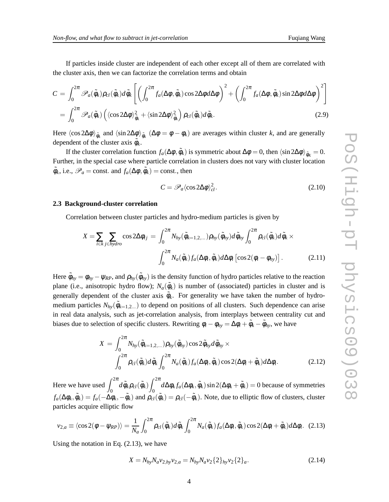If particles inside cluster are independent of each other except all of them are correlated with the cluster axis, then we can factorize the correlation terms and obtain

$$
C = \int_0^{2\pi} \mathscr{P}_a(\tilde{\phi}_k) \rho_{cl}(\tilde{\phi}_k) d\tilde{\phi}_k \left[ \left( \int_0^{2\pi} f_a(\Delta \phi, \tilde{\phi}_k) \cos 2\Delta \phi d\Delta \phi \right)^2 + \left( \int_0^{2\pi} f_a(\Delta \phi, \tilde{\phi}_k) \sin 2\Delta \phi d\Delta \phi \right)^2 \right]
$$
  
= 
$$
\int_0^{2\pi} \mathscr{P}_a(\tilde{\phi}_k) \left( \langle \cos 2\Delta \phi \rangle_{\tilde{\phi}_k}^2 + \langle \sin 2\Delta \phi \rangle_{\tilde{\phi}_k}^2 \right) \rho_{cl}(\tilde{\phi}_k) d\tilde{\phi}_k.
$$
 (2.9)

Here  $\langle \cos 2\Delta\phi \rangle_{\tilde{\phi}_k}$  and  $\langle \sin 2\Delta\phi \rangle_{\tilde{\phi}_k}$  ( $\Delta\phi = \phi - \phi_k$ ) are averages within cluster *k*, and are generally dependent of the cluster axis  $\tilde{\phi}_k$ .

If the cluster correlation function  $f_a(\Delta \phi, \tilde{\phi}_k)$  is symmetric about  $\Delta \phi = 0$ , then  $\langle \sin 2\Delta \phi \rangle_{\tilde{\phi}_K} = 0$ . Further, in the special case where particle correlation in clusters does not vary with cluster location  $\tilde{\phi}_k$ , i.e.,  $\mathscr{P}_a$  = const. and  $f_a(\Delta \phi, \tilde{\phi}_k)$  = const., then

$$
C = \mathscr{P}_a \langle \cos 2\Delta \phi \rangle_{cl}^2. \tag{2.10}
$$

#### **2.3 Background-cluster correlation**

Correlation between cluster particles and hydro-medium particles is given by

$$
X = \sum_{i \in k} \sum_{j \in hydro} \cos 2\Delta \phi_{ij} = \int_0^{2\pi} N_{hy}(\tilde{\phi}_{k=1,2,...}) \rho_{hy}(\tilde{\phi}_{hy}) d\tilde{\phi}_{hy} \int_0^{2\pi} \rho_{cl}(\tilde{\phi}_k) d\tilde{\phi}_k \times
$$

$$
\int_0^{2\pi} N_a(\tilde{\phi}_k) f_a(\Delta \phi_i, \tilde{\phi}_k) d\Delta \phi_i \left[ \cos 2(\phi_i - \phi_{hy}) \right]. \tag{2.11}
$$

Here  $\tilde{\phi}_{hy} = \phi_{hy} - \psi_{RP}$ , and  $\rho_{hy}(\tilde{\phi}_{hy})$  is the density function of hydro particles relative to the reaction plane (i.e., anisotropic hydro flow);  $N_a(\tilde{\phi}_k)$  is number of (associated) particles in cluster and is generally dependent of the cluster axis  $\tilde{\phi}_k$ . For generality we have taken the number of hydromedium particles  $N_{hy}(\tilde{\phi}_{k=1,2...})$  to depend on positions of all clusters. Such dependence can arise in real data analysis, such as jet-correlation analysis, from interplays between centrality cut and biases due to selection of specific clusters. Rewriting  $\phi_i - \phi_{hy} = \Delta \phi_i + \tilde{\phi}_k - \tilde{\phi}_{hy}$ , we have

$$
X = \int_0^{2\pi} N_{hy}(\tilde{\phi}_{k=1,2,...}) \rho_{hy}(\tilde{\phi}_{hy}) \cos 2\tilde{\phi}_{hy} d\tilde{\phi}_{hy} \times
$$
  

$$
\int_0^{2\pi} \rho_{cl}(\tilde{\phi}_k) d\tilde{\phi}_k \int_0^{2\pi} N_a(\tilde{\phi}_k) f_a(\Delta \phi_i, \tilde{\phi}_k) \cos 2(\Delta \phi_i + \tilde{\phi}_k) d\Delta \phi_i.
$$
 (2.12)

Here we have used  $\int_0^{2\pi} d\tilde{\phi}_k \rho_{cl}(\tilde{\phi}_k) \int_0^{2\pi}$  $\int_0^{\infty} d\Delta \phi_k f_a(\Delta \phi_k, \tilde{\phi}_k) \sin 2(\Delta \phi_k + \tilde{\phi}_k) = 0$  because of symmetries  $f_a(\Delta\phi_k, \tilde{\phi}_k) = f_a(-\Delta\phi_k, -\tilde{\phi}_k)$  and  $\rho_{cl}(\tilde{\phi}_k) = \rho_{cl}(-\tilde{\phi}_k)$ . Note, due to elliptic flow of clusters, cluster particles acquire elliptic flow

$$
v_{2,a} \equiv \langle \cos 2(\phi - \psi_{RP}) \rangle = \frac{1}{N_a} \int_0^{2\pi} \rho_{cl}(\tilde{\phi}_k) d\tilde{\phi}_k \int_0^{2\pi} N_a(\tilde{\phi}_k) f_a(\Delta \phi_i, \tilde{\phi}_k) \cos 2(\Delta \phi_i + \tilde{\phi}_k) d\Delta \phi_i.
$$
 (2.13)

Using the notation in Eq. (2.13), we have

$$
X = N_{hy} N_a v_{2,hy} v_{2,a} = N_{hy} N_a v_2 \{2\}_{hy} v_2 \{2\}_a.
$$
\n(2.14)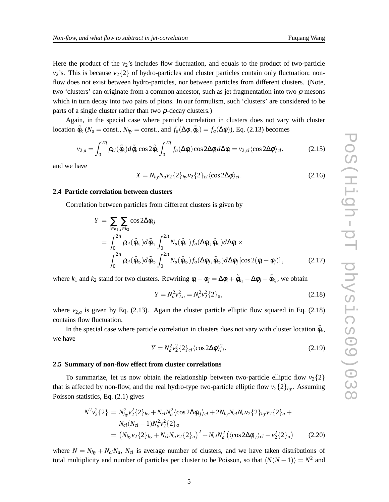Here the product of the  $v_2$ 's includes flow fluctuation, and equals to the product of two-particle  $v_2$ 's. This is because  $v_2\{2\}$  of hydro-particles and cluster particles contain only fluctuation; nonflow does not exist between hydro-particles, nor between particles from different clusters. (Note, two 'clusters' can originate from a common ancestor, such as jet fragmentation into two  $\rho$  mesons which in turn decay into two pairs of pions. In our formulism, such 'clusters' are considered to be parts of a single cluster rather than two  $\rho$ -decay clusters.)

Again, in the special case where particle correlation in clusters does not vary with cluster location  $\tilde{\phi}_k$  (*N<sub>a</sub>* = const., *N<sub>hy</sub>* = const., and  $f_a(\Delta \phi, \tilde{\phi}_k) = f_a(\Delta \phi)$ ), Eq. (2.13) becomes

$$
v_{2,a} = \int_0^{2\pi} \rho_{cl}(\tilde{\phi}_k) d\tilde{\phi}_k \cos 2\tilde{\phi}_k \int_0^{2\pi} f_a(\Delta \phi_i) \cos 2\Delta \phi_i d\Delta \phi_i = v_{2,cl} \langle \cos 2\Delta \phi \rangle_{cl},
$$
 (2.15)

and we have

$$
X = N_{hy} N_a v_2 \{2\}_{hy} v_2 \{2\}_{cl} \langle \cos 2\Delta\phi \rangle_{cl}.
$$
 (2.16)

### **2.4 Particle correlation between clusters**

Correlation between particles from different clusters is given by

$$
Y = \sum_{i \in k_1} \sum_{j \in k_2} \cos 2\Delta \phi_{ij}
$$
  
=  $\int_0^{2\pi} \rho_{cl}(\tilde{\phi}_{k_1}) d\tilde{\phi}_{k_1} \int_0^{2\pi} N_a(\tilde{\phi}_{k_1}) f_a(\Delta \phi_i, \tilde{\phi}_{k_1}) d\Delta \phi_i \times$   
 $\int_0^{2\pi} \rho_{cl}(\tilde{\phi}_{k_2}) d\tilde{\phi}_{k_2} \int_0^{2\pi} N_a(\tilde{\phi}_{k_2}) f_a(\Delta \phi_j, \tilde{\phi}_{k_2}) d\Delta \phi_j [\cos 2(\phi_i - \phi_j)],$  (2.17)

where  $k_1$  and  $k_2$  stand for two clusters. Rewriting  $\phi_i - \phi_j = \Delta \phi_i + \tilde{\phi}_{k_1} - \Delta \phi_j - \tilde{\phi}_{k_2}$ , we obtain

$$
Y = N_a^2 v_{2,a}^2 = N_a^2 v_2^2 \{2\}_a,\tag{2.18}
$$

where  $v_{2,a}$  is given by Eq. (2.13). Again the cluster particle elliptic flow squared in Eq. (2.18) contains flow fluctuation.

In the special case where particle correlation in clusters does not vary with cluster location  $\tilde{\phi}_k$ , we have

$$
Y = N_a^2 v_2^2 \{2\}_{cl} \langle \cos 2\Delta \phi \rangle_{cl}^2. \tag{2.19}
$$

#### **2.5 Summary of non-flow effect from cluster correlations**

To summarize, let us now obtain the relationship between two-particle elliptic flow  $v_2\{2\}$ that is affected by non-flow, and the real hydro-type two-particle elliptic flow  $v_2\{2\}_{hv}$ . Assuming Poisson statistics, Eq. (2.1) gives

$$
N^{2}v_{2}^{2}\{2\} = N_{hy}^{2}v_{2}^{2}\{2\}_{hy} + N_{cl}N_{a}^{2}\langle\cos 2\Delta\phi_{ij}\rangle_{cl} + 2N_{hy}N_{cl}N_{a}v_{2}\{2\}_{hy}v_{2}\{2\}_{a} + N_{cl}(N_{cl} - 1)N_{a}^{2}v_{2}^{2}\{2\}_{a}
$$
  
=  $(N_{hy}v_{2}\{2\}_{hy} + N_{cl}N_{a}v_{2}\{2\}_{a})^{2} + N_{cl}N_{a}^{2}\langle\langle\cos 2\Delta\phi_{ij}\rangle_{cl} - v_{2}^{2}\{2\}_{a})$  (2.20)

where  $N = N_{hv} + N_{cl}N_a$ ,  $N_{cl}$  is average number of clusters, and we have taken distributions of total multiplicity and number of particles per cluster to be Poisson, so that  $\langle N(N-1)\rangle = N^2$  and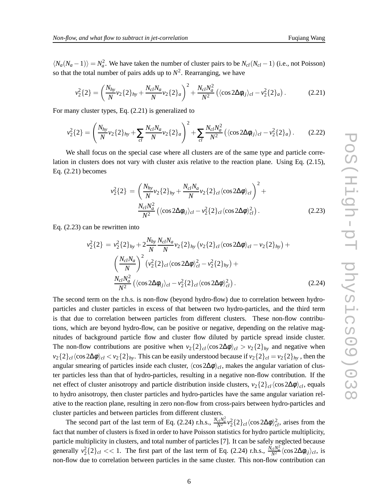$\langle N_a(N_a-1)\rangle = N_a^2$ . We have taken the number of cluster pairs to be  $N_{cl}(N_{cl}-1)$  (i.e., not Poisson) so that the total number of pairs adds up to  $N^2$ . Rearranging, we have

$$
v_2^2\{2\} = \left(\frac{N_{hy}}{N}v_2\{2\}_{hy} + \frac{N_{cl}N_a}{N}v_2\{2\}_a\right)^2 + \frac{N_{cl}N_a^2}{N^2}\left(\langle\cos 2\Delta\phi_{ij}\rangle_{cl} - v_2^2\{2\}_a\right). \tag{2.21}
$$

For many cluster types, Eq. (2.21) is generalized to

$$
v_2^2\{2\} = \left(\frac{N_{hy}}{N}v_2\{2\}_{hy} + \sum_{cl} \frac{N_{cl}N_a}{N}v_2\{2\}_a\right)^2 + \sum_{cl} \frac{N_{cl}N_a^2}{N^2} \left(\langle\cos 2\Delta\phi_{ij}\rangle_{cl} - v_2^2\{2\}_a\right). \tag{2.22}
$$

We shall focus on the special case where all clusters are of the same type and particle correlation in clusters does not vary with cluster axis relative to the reaction plane. Using Eq. (2.15), Eq. (2.21) becomes

$$
v_2^2\{2\} = \left(\frac{N_{hy}}{N}v_2\{2\}_{hy} + \frac{N_{cl}N_a}{N}v_2\{2\}_{cl}\langle\cos 2\Delta\phi\rangle_{cl}\right)^2 + \frac{N_{cl}N_a^2}{N^2}\left(\langle\cos 2\Delta\phi_{ij}\rangle_{cl} - v_2^2\{2\}_{cl}\langle\cos 2\Delta\phi\rangle_{cl}^2\right).
$$
 (2.23)

Eq. (2.23) can be rewritten into

$$
v_2^2\{2\} = v_2^2\{2\}_{hy} + 2\frac{N_{hy}}{N} \frac{N_{cl}N_a}{N} v_2\{2\}_{hy} (v_2\{2\}_{cl} \langle \cos 2\Delta\phi \rangle_{cl} - v_2\{2\}_{hy}) +
$$
  

$$
\left(\frac{N_{cl}N_a}{N}\right)^2 (v_2^2\{2\}_{cl} \langle \cos 2\Delta\phi \rangle_{cl}^2 - v_2^2\{2\}_{hy}) +
$$
  

$$
\frac{N_{cl}N_a^2}{N^2} (\langle \cos 2\Delta\phi_{ij} \rangle_{cl} - v_2^2\{2\}_{cl} \langle \cos 2\Delta\phi \rangle_{cl}^2).
$$
 (2.24)

The second term on the r.h.s. is non-flow (beyond hydro-flow) due to correlation between hydroparticles and cluster particles in excess of that between two hydro-particles, and the third term is that due to correlation between particles from different clusters. These non-flow contributions, which are beyond hydro-flow, can be positive or negative, depending on the relative magnitudes of background particle flow and cluster flow diluted by particle spread inside cluster. The non-flow contributions are positive when  $v_2\{2\}_{cl}\langle \cos 2\Delta\phi \rangle_{cl} > v_2\{2\}_{hv}$  and negative when  $v_2\{2\}_c$   $\langle \cos 2\Delta\phi \rangle_c$   $\langle v_2\{2\}_h$ . This can be easily understood because if  $v_2\{2\}_c$  =  $v_2\{2\}_h$ , then the angular smearing of particles inside each cluster,  $\langle \cos 2\Delta \phi \rangle_{cl}$ , makes the angular variation of cluster particles less than that of hydro-particles, resulting in a negative non-flow contribution. If the net effect of cluster anisotropy and particle distribution inside clusters,  $v_2\{2\}_c$ <sub>*cl*</sub>  $\langle \cos 2\Delta\phi \rangle_c$ , equals to hydro anisotropy, then cluster particles and hydro-particles have the same angular variation relative to the reaction plane, resulting in zero non-flow from cross-pairs between hydro-particles and cluster particles and between particles from different clusters.

The second part of the last term of Eq. (2.24) r.h.s.,  $\frac{N_c N_a^2}{N^2} v_2^2 \{2\}_{cl} \langle \cos 2\Delta \phi \rangle_{cl}^2$ , arises from the fact that number of clusters is fixed in order to have Poisson statistics for hydro particle multiplicity, particle multiplicity in clusters, and total number of particles [7]. It can be safely neglected because generally  $v_2^2$ {2}*cl* < 1. The first part of the last term of Eq. (2.24) r.h.s.,  $\frac{\dot{N}_{cl}N_a^2}{N^2}$   $\langle \cos 2\Delta\phi_{ij} \rangle_{cl}$ , is non-flow due to correlation between particles in the same cluster. This non-flow contribution can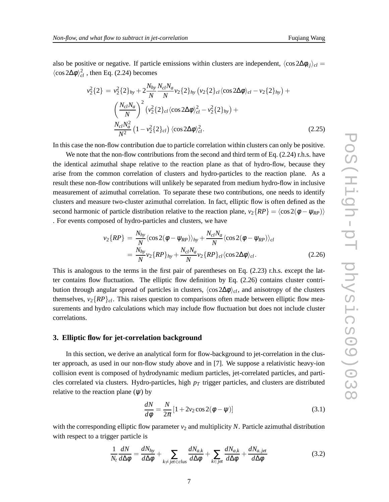also be positive or negative. If particle emissions within clusters are independent,  $\langle \cos 2\Delta \phi_{ij} \rangle_{cl} =$  $\langle \cos 2\Delta \phi \rangle_{cl}^2$ , then Eq. (2.24) becomes

$$
v_2^2\{2\} = v_2^2\{2\}_{hy} + 2\frac{N_{hy}}{N} \frac{N_{cl}N_a}{N} v_2\{2\}_{hy} (v_2\{2\}_{cl} \langle \cos 2\Delta\phi \rangle_{cl} - v_2\{2\}_{hy}) +
$$
  

$$
\left(\frac{N_{cl}N_a}{N}\right)^2 (v_2^2\{2\}_{cl} \langle \cos 2\Delta\phi \rangle_{cl}^2 - v_2^2\{2\}_{hy}) +
$$
  

$$
\frac{N_{cl}N_a^2}{N^2} (1 - v_2^2\{2\}_{cl}) \langle \cos 2\Delta\phi \rangle_{cl}^2.
$$
 (2.25)

In this case the non-flow contribution due to particle correlation within clusters can only be positive.

We note that the non-flow contributions from the second and third term of Eq. (2.24) r.h.s. have the identical azimuthal shape relative to the reaction plane as that of hydro-flow, because they arise from the common correlation of clusters and hydro-particles to the reaction plane. As a result these non-flow contributions will unlikely be separated from medium hydro-flow in inclusive measurement of azimuthal correlation. To separate these two contributions, one needs to identify clusters and measure two-cluster azimuthal correlation. In fact, elliptic flow is often defined as the second harmonic of particle distribution relative to the reaction plane,  $v_2\{RP\} = \langle \cos 2(\phi - \psi_{RP}) \rangle$ . For events composed of hydro-particles and clusters, we have

$$
v_2\{RP\} = \frac{N_{hy}}{N} \langle \cos 2(\phi - \psi_{RP}) \rangle_{hy} + \frac{N_{cl}N_a}{N} \langle \cos 2(\phi - \psi_{RP}) \rangle_{cl}
$$
  
= 
$$
\frac{N_{hy}}{N} v_2 \{RP\}_{hy} + \frac{N_{cl}N_a}{N} v_2 \{RP\}_{cl} \langle \cos 2\Delta\phi \rangle_{cl}.
$$
 (2.26)

This is analogous to the terms in the first pair of parentheses on Eq. (2.23) r.h.s. except the latter contains flow fluctuation. The elliptic flow definition by Eq. (2.26) contains cluster contribution through angular spread of particles in clusters,  $\langle \cos 2\Delta \phi \rangle_{cl}$ , and anisotropy of the clusters themselves,  $v_2$ { $RP$ }<sub>cl</sub>. This raises question to comparisons often made between elliptic flow measurements and hydro calculations which may include flow fluctuation but does not include cluster correlations.

#### **3. Elliptic flow for jet-correlation background**

In this section, we derive an analytical form for flow-background to jet-correlation in the cluster approach, as used in our non-flow study above and in [7]. We suppose a relativistic heavy-ion collision event is composed of hydrodynamic medium particles, jet-correlated particles, and particles correlated via clusters. Hydro-particles, high *p<sup>T</sup>* trigger particles, and clusters are distributed relative to the reaction plane  $(\psi)$  by

$$
\frac{dN}{d\phi} = \frac{N}{2\pi} \left[ 1 + 2v_2 \cos 2(\phi - \psi) \right]
$$
\n(3.1)

with the corresponding elliptic flow parameter  $v_2$  and multiplicity N. Particle azimuthal distribution with respect to a trigger particle is

$$
\frac{1}{N_t}\frac{dN}{d\Delta\phi} = \frac{dN_{hy}}{d\Delta\phi} + \sum_{k \neq jet \in clus} \frac{dN_{a,k}}{d\Delta\phi} + \sum_{k \in jet} \frac{dN_{a,k}}{d\Delta\phi} + \frac{dN_{a,jet}}{d\Delta\phi}
$$
(3.2)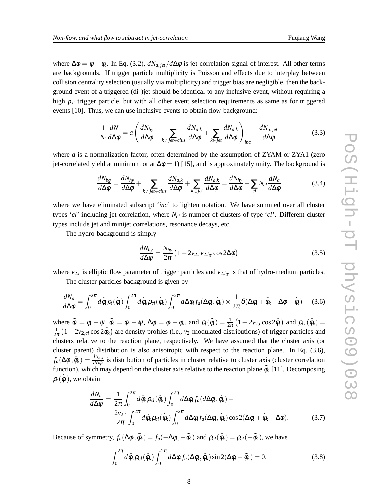where  $\Delta \phi = \phi - \phi_t$ . In Eq. (3.2),  $dN_{a,jet}/d\Delta\phi$  is jet-correlation signal of interest. All other terms are backgrounds. If trigger particle multiplicity is Poisson and effects due to interplay between collision centrality selection (usually via multiplicity) and trigger bias are negligible, then the background event of a triggered (di-)jet should be identical to any inclusive event, without requiring a high  $p_T$  trigger particle, but with all other event selection requirements as same as for triggered events [10]. Thus, we can use inclusive events to obtain flow-background:

$$
\frac{1}{N_t}\frac{dN}{d\Delta\phi} = a\left(\frac{dN_{hy}}{d\Delta\phi} + \sum_{k \neq jet \in clus} \frac{dN_{a,k}}{d\Delta\phi} + \sum_{k \in jet} \frac{dN_{a,k}}{d\Delta\phi}\right)_{inc} + \frac{dN_{a,jet}}{d\Delta\phi}
$$
(3.3)

where *a* is a normalization factor, often determined by the assumption of ZYAM or ZYA1 (zero jet-correlated yield at minimum or at  $\Delta \phi = 1$  [15], and is approximately unity. The background is

$$
\frac{dN_{bg}}{d\Delta\phi} = \frac{dN_{hy}}{d\Delta\phi} + \sum_{k \neq jet \in clus} \frac{dN_{a,k}}{d\Delta\phi} + \sum_{k \in jet} \frac{dN_{a,k}}{d\Delta\phi} = \frac{dN_{hy}}{d\Delta\phi} + \sum_{cl} N_{cl} \frac{dN_a}{d\Delta\phi}
$$
(3.4)

where we have eliminated subscript '*inc*' to lighten notation. We have summed over all cluster types '*cl*' including jet-correlation, where *Ncl* is number of clusters of type '*cl*'. Different cluster types include jet and minijet correlations, resonance decays, etc.

The hydro-background is simply

$$
\frac{dN_{hy}}{d\Delta\phi} = \frac{N_{hy}}{2\pi} \left( 1 + 2v_{2,t}v_{2,hy}\cos 2\Delta\phi \right)
$$
\n(3.5)

where  $v_{2,t}$  is elliptic flow parameter of trigger particles and  $v_{2,hy}$  is that of hydro-medium particles. The cluster particles background is given by

*dN<sup>a</sup>*

$$
\frac{dN_a}{d\Delta\phi} = \int_0^{2\pi} d\tilde{\phi}_t \rho_t(\tilde{\phi}_t) \int_0^{2\pi} d\tilde{\phi}_k \rho_{cl}(\tilde{\phi}_k) \int_0^{2\pi} d\Delta \phi_i f_a(\Delta \phi_i, \tilde{\phi}_k) \times \frac{1}{2\pi} \delta(\Delta \phi_i + \tilde{\phi}_k - \Delta \phi - \tilde{\phi}_t)
$$
(3.6)

where  $\tilde{\phi}_t = \phi_t - \psi$ ,  $\tilde{\phi}_k = \phi_k - \psi$ ,  $\Delta \phi_i = \phi_i - \phi_k$ , and  $\rho_t(\tilde{\phi}_t) = \frac{1}{2\pi} \left(1 + 2v_{2,t} \cos 2\tilde{\phi}_t\right)$  and  $\rho_{cl}(\tilde{\phi}_k) =$ 1  $\frac{1}{2\pi}$   $(1+2v_{2,cl}\cos 2\tilde{\phi}_k)$  are density profiles (i.e., *v*<sub>2</sub>-modulated distributions) of trigger particles and clusters relative to the reaction plane, respectively. We have assumed that the cluster axis (or cluster parent) distribution is also anisotropic with respect to the reaction plane. In Eq. (3.6),  $f_a(\Delta\phi_i, \tilde{\phi}_k) = \frac{dN_{a,k}}{d\Delta\phi_i}$  is distribution of particles in cluster relative to cluster axis (cluster correlation function), which may depend on the cluster axis relative to the reaction plane  $\tilde{\phi}_k$  [11]. Decomposing  $\rho_t(\tilde{\phi}_t)$ , we obtain

$$
\frac{dN_a}{d\Delta\phi} = \frac{1}{2\pi} \int_0^{2\pi} d\tilde{\phi}_k \rho_{cl}(\tilde{\phi}_k) \int_0^{2\pi} d\Delta \phi_i f_a(d\Delta\phi_i, \tilde{\phi}_k) +
$$
  

$$
\frac{2\nu_{2,t}}{2\pi} \int_0^{2\pi} d\tilde{\phi}_k \rho_{cl}(\tilde{\phi}_k) \int_0^{2\pi} d\Delta \phi_i f_a(\Delta\phi_i, \tilde{\phi}_k) \cos 2(\Delta\phi_i + \tilde{\phi}_k - \Delta\phi).
$$
 (3.7)

Because of symmetry,  $f_a(\Delta \phi_i, \tilde{\phi}_k) = f_a(-\Delta \phi_i, -\tilde{\phi}_k)$  and  $\rho_{cl}(\tilde{\phi}_k) = \rho_{cl}(-\tilde{\phi}_k)$ , we have

$$
\int_0^{2\pi} d\tilde{\phi}_k \rho_{cl}(\tilde{\phi}_k) \int_0^{2\pi} d\Delta \phi_i f_a(\Delta \phi_i, \tilde{\phi}_k) \sin 2(\Delta \phi_i + \tilde{\phi}_k) = 0.
$$
 (3.8)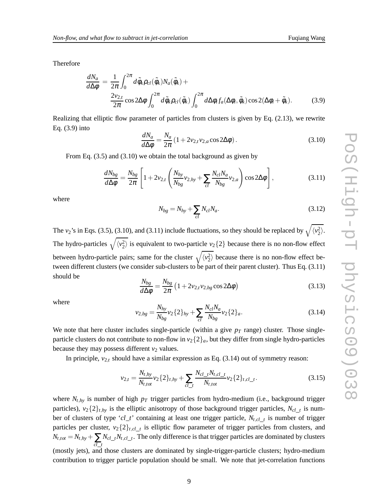Therefore

$$
\frac{dN_a}{d\Delta\phi} = \frac{1}{2\pi} \int_0^{2\pi} d\tilde{\phi}_k \rho_{cl}(\tilde{\phi}_k) N_a(\tilde{\phi}_k) +
$$
  

$$
\frac{2v_{2,t}}{2\pi} \cos 2\Delta\phi \int_0^{2\pi} d\tilde{\phi}_k \rho_{cl}(\tilde{\phi}_k) \int_0^{2\pi} d\Delta\phi_i f_a(\Delta\phi_i, \tilde{\phi}_k) \cos 2(\Delta\phi_i + \tilde{\phi}_k).
$$
 (3.9)

Realizing that elliptic flow parameter of particles from clusters is given by Eq. (2.13), we rewrite Eq. (3.9) into

$$
\frac{dN_a}{d\Delta\phi} = \frac{N_a}{2\pi} \left( 1 + 2v_{2,t} v_{2,a} \cos 2\Delta\phi \right). \tag{3.10}
$$

From Eq. (3.5) and (3.10) we obtain the total background as given by

$$
\frac{dN_{bg}}{d\Delta\phi} = \frac{N_{bg}}{2\pi} \left[ 1 + 2v_{2,t} \left( \frac{N_{hy}}{N_{bg}} v_{2,hy} + \sum_{cl} \frac{N_{cl} N_a}{N_{bg}} v_{2,a} \right) \cos 2\Delta\phi \right],
$$
\n(3.11)

where

$$
N_{bg} = N_{hy} + \sum_{cl} N_{cl} N_a.
$$
 (3.12)

The *v*<sub>2</sub>'s in Eqs. (3.5), (3.10), and (3.11) include fluctuations, so they should be replaced by  $\sqrt{\langle v_2^2 \rangle}$ . The hydro-particles  $\sqrt{\langle v_2^2 \rangle}$  is equivalent to two-particle  $v_2\{2\}$  because there is no non-flow effect between hydro-particle pairs; same for the cluster  $\sqrt{\langle v_2^2 \rangle}$  because there is no non-flow effect between different clusters (we consider sub-clusters to be part of their parent cluster). Thus Eq. (3.11) should be

$$
\frac{N_{bg}}{d\Delta\phi} = \frac{N_{bg}}{2\pi} \left( 1 + 2v_{2,t}v_{2,bg}\cos 2\Delta\phi \right)
$$
\n(3.13)

where

$$
v_{2,bg} = \frac{N_{hy}}{N_{bg}} v_2 \{2\}_{hy} + \sum_{cl} \frac{N_{cl} N_a}{N_{bg}} v_2 \{2\}_a.
$$
 (3.14)

We note that here cluster includes single-particle (within a give  $p<sub>T</sub>$  range) cluster. Those singleparticle clusters do not contribute to non-flow in  $v_2\{2\}_a$ , but they differ from single hydro-particles because they may possess different  $v_2$  values.

In principle,  $v_{2,t}$  should have a similar expression as Eq. (3.14) out of symmetry reason:

$$
v_{2,t} = \frac{N_{t,hy}}{N_{t,tot}} v_2 \{2\}_{t,hy} + \sum_{cl\_t} \frac{N_{cl\_t} N_{t,cl\_t}}{N_{t,tot}} v_2 \{2\}_{t,cl\_t}.
$$
 (3.15)

where  $N_{t,hy}$  is number of high  $p_T$  trigger particles from hydro-medium (i.e., background trigger particles),  $v_2\{2\}_{t,hy}$  is the elliptic anisotropy of those background trigger particles,  $N_{cl\_t}$  is number of clusters of type '*cl*\_*t*' containing at least one trigger particle, *Nt*,*cl*\_*<sup>t</sup>* is number of trigger particles per cluster,  $v_2\{2\}_{t,cl\_t}$  is elliptic flow parameter of trigger particles from clusters, and  $N_{t,tot} = N_{t,hy} + \sum_{cl\_t}$  $N_{cl\_t}N_{t,cl\_t}$ . The only difference is that trigger particles are dominated by clusters (mostly jets), and those clusters are dominated by single-trigger-particle clusters; hydro-medium contribution to trigger particle population should be small. We note that jet-correlation functions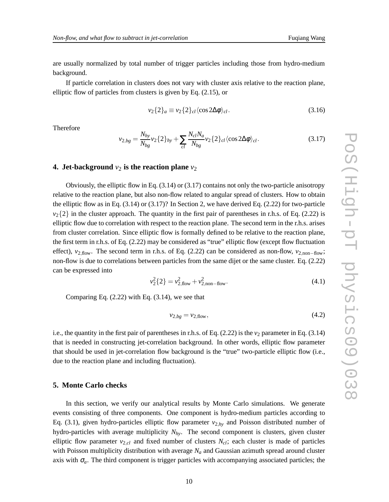are usually normalized by total number of trigger particles including those from hydro-medium background.

If particle correlation in clusters does not vary with cluster axis relative to the reaction plane, elliptic flow of particles from clusters is given by Eq. (2.15), or

$$
v_2\{2\}_a \equiv v_2\{2\}_{cl} \langle \cos 2\Delta\phi \rangle_{cl}.\tag{3.16}
$$

Therefore

$$
v_{2,bg} = \frac{N_{hy}}{N_{bg}} v_2 \{2\}_{hy} + \sum_{cl} \frac{N_{cl} N_a}{N_{bg}} v_2 \{2\}_{cl} \langle \cos 2\Delta\phi \rangle_{cl}.
$$
 (3.17)

### **4.** Jet-background  $v_2$  is the reaction plane  $v_2$

Obviously, the elliptic flow in Eq. (3.14) or (3.17) contains not only the two-particle anisotropy relative to the reaction plane, but also non-flow related to angular spread of clusters. How to obtain the elliptic flow as in Eq.  $(3.14)$  or  $(3.17)$ ? In Section 2, we have derived Eq.  $(2.22)$  for two-particle  $v_2\{2\}$  in the cluster approach. The quantity in the first pair of parentheses in r.h.s. of Eq. (2.22) is elliptic flow due to correlation with respect to the reaction plane. The second term in the r.h.s. arises from cluster correlation. Since elliptic flow is formally defined to be relative to the reaction plane, the first term in r.h.s. of Eq. (2.22) may be considered as "true" elliptic flow (except flow fluctuation effect), *v*<sub>2,flow</sub>. The second term in r.h.s. of Eq. (2.22) can be considered as non-flow,  $v_{2,\text{non-flow}}$ ; non-flow is due to correlations between particles from the same dijet or the same cluster. Eq. (2.22) can be expressed into

$$
v_2^2\{2\} = v_{2,\text{flow}}^2 + v_{2,\text{non-flow}}^2.
$$
 (4.1)

Comparing Eq. (2.22) with Eq. (3.14), we see that

$$
v_{2,bg} = v_{2,\text{flow}},\tag{4.2}
$$

i.e., the quantity in the first pair of parentheses in r.h.s. of Eq.  $(2.22)$  is the  $v_2$  parameter in Eq.  $(3.14)$ that is needed in constructing jet-correlation background. In other words, elliptic flow parameter that should be used in jet-correlation flow background is the "true" two-particle elliptic flow (i.e., due to the reaction plane and including fluctuation).

#### **5. Monte Carlo checks**

In this section, we verify our analytical results by Monte Carlo simulations. We generate events consisting of three components. One component is hydro-medium particles according to Eq. (3.1), given hydro-particles elliptic flow parameter  $v_{2,hy}$  and Poisson distributed number of hydro-particles with average multiplicity *Nhy*. The second component is clusters, given cluster elliptic flow parameter  $v_{2,cl}$  and fixed number of clusters  $N_{cl}$ ; each cluster is made of particles with Poisson multiplicity distribution with average *N<sup>a</sup>* and Gaussian azimuth spread around cluster axis with  $\sigma_a$ . The third component is trigger particles with accompanying associated particles; the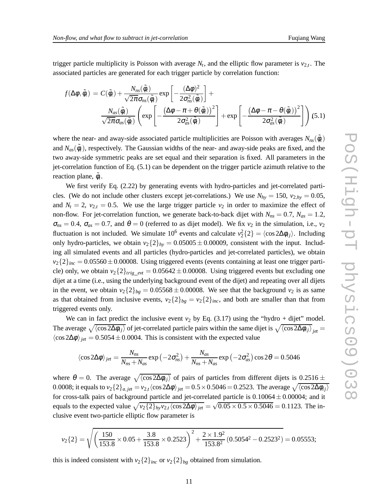trigger particle multiplicity is Poisson with average  $N_t$ , and the elliptic flow parameter is  $v_{2,t}$ . The associated particles are generated for each trigger particle by correlation function:

$$
f(\Delta\phi, \tilde{\phi}_t) = C(\tilde{\phi}_t) + \frac{N_{ns}(\tilde{\phi}_t)}{\sqrt{2\pi}\sigma_{ns}(\tilde{\phi}_t)} \exp\left[-\frac{(\Delta\phi)^2}{2\sigma_{ns}^2(\tilde{\phi}_t)}\right] + \frac{N_{as}(\tilde{\phi}_t)}{\sqrt{2\pi}\sigma_{as}(\tilde{\phi}_t)} \left(\exp\left[-\frac{(\Delta\phi - \pi + \theta(\tilde{\phi}_t))^2}{2\sigma_{as}^2(\tilde{\phi}_t)}\right] + \exp\left[-\frac{(\Delta\phi - \pi - \theta(\tilde{\phi}_t))^2}{2\sigma_{as}^2(\tilde{\phi}_t)}\right]\right) (5.1)
$$

where the near- and away-side associated particle multiplicities are Poisson with averages  $N_{ns}(\tilde{\phi}_t)$ and  $N_{as}(\tilde{\phi}_t)$ , respectively. The Gaussian widths of the near- and away-side peaks are fixed, and the two away-side symmetric peaks are set equal and their separation is fixed. All parameters in the jet-correlation function of Eq. (5.1) can be dependent on the trigger particle azimuth relative to the reaction plane,  $\tilde{\phi}_t$ .

We first verify Eq. (2.22) by generating events with hydro-particles and jet-correlated particles. (We do not include other clusters except jet-correlations.) We use  $N_{hv} = 150$ ,  $v_{2,hy} = 0.05$ , and  $N_t = 2$ ,  $v_{2,t} = 0.5$ . We use the large trigger particle  $v_2$  in order to maximize the effect of non-flow. For jet-correlation function, we generate back-to-back dijet with  $N_{ns} = 0.7$ ,  $N_{as} = 1.2$ ,  $\sigma_{ns} = 0.4$ ,  $\sigma_{as} = 0.7$ , and  $\theta = 0$  (referred to as dijet model). We fix  $v_2$  in the simulation, i.e.,  $v_2$ fluctuation is not included. We simulate  $10^6$  events and calculate  $v_2^2\{2\} = \langle \cos 2\Delta\phi_{ij} \rangle$ . Including only hydro-particles, we obtain  $v_2\{2\}_{hv} = 0.05005 \pm 0.00009$ , consistent with the input. Including all simulated events and all particles (hydro-particles and jet-correlated particles), we obtain  $v_2\{2\}_{inc} = 0.05560 \pm 0.00008$ . Using triggered events (events containing at least one trigger particle) only, we obtain  $v_2\{2\}_{trig\_evt} = 0.05642 \pm 0.00008$ . Using triggered events but excluding one dijet at a time (i.e., using the underlying background event of the dijet) and repeating over all dijets in the event, we obtain  $v_2\{2\}_{bg} = 0.05568 \pm 0.00008$ . We see that the background  $v_2$  is as same as that obtained from inclusive events,  $v_2\{2\}_{bg} = v_2\{2\}_{inc}$ , and both are smaller than that from triggered events only.

We can in fact predict the inclusive event  $v_2$  by Eq. (3.17) using the "hydro + dijet" model. The average  $\sqrt{\langle \cos 2\Delta\phi_{ij} \rangle}$  of jet-correlated particle pairs within the same dijet is  $\sqrt{\langle \cos 2\Delta\phi_{ij} \rangle}_{jet}$  $\langle \cos 2\Delta \phi \rangle_{jet} = 0.5054 \pm 0.0004$ . This is consistent with the expected value

$$
\langle \cos 2\Delta \phi \rangle_{jet} = \frac{N_{ns}}{N_{ns} + N_{as}} \exp \left( -2\sigma_{ns}^2 \right) + \frac{N_{as}}{N_{ns} + N_{as}} \exp \left( -2\sigma_{as}^2 \right) \cos 2\theta = 0.5046
$$

where  $\theta = 0$ . The average  $\sqrt{\langle \cos 2\Delta \phi_{ij} \rangle}$  of pairs of particles from different dijets is  $0.2516 \pm 0.2516$ 0.0008; it equals to  $v_2\{2\}_{a,jet} = v_{2,t}\langle\cos2\Delta\phi\rangle_{jet} = 0.5\times0.5046 = 0.2523$ . The average  $\sqrt{\langle\cos2\Delta\phi_{ij}\rangle}$ for cross-talk pairs of background particle and jet-correlated particle is  $0.10064 \pm 0.00004$ ; and it equals to the expected value  $\sqrt{v_2\{2\}_{hy}v_{2,t}\langle\cos2\Delta\phi\rangle_{jet}} = \sqrt{0.05\times0.5\times0.5046} = 0.1123$ . The inclusive event two-particle elliptic flow parameter is

$$
v_2\{2\} = \sqrt{\left(\frac{150}{153.8} \times 0.05 + \frac{3.8}{153.8} \times 0.2523\right)^2 + \frac{2 \times 1.9^2}{153.8^2} (0.5054^2 - 0.2523^2)} = 0.05553;
$$

this is indeed consistent with  $v_2\{2\}_{inc}$  or  $v_2\{2\}_{bg}$  obtained from simulation.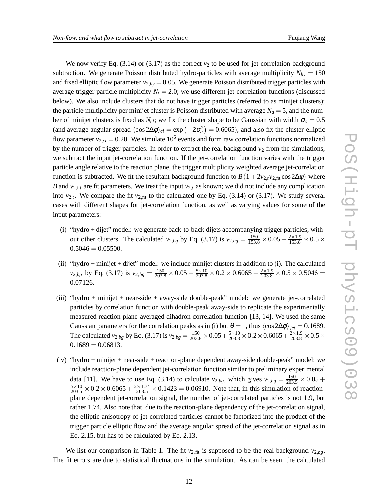We now verify Eq.  $(3.14)$  or  $(3.17)$  as the correct  $v<sub>2</sub>$  to be used for jet-correlation background subtraction. We generate Poisson distributed hydro-particles with average multiplicity  $N_{hy} = 150$ and fixed elliptic flow parameter  $v_{2,hy} = 0.05$ . We generate Poisson distributed trigger particles with average trigger particle multiplicity  $N_t = 2.0$ ; we use different jet-correlation functions (discussed below). We also include clusters that do not have trigger particles (referred to as minijet clusters); the particle multiplicity per minijet cluster is Poisson distributed with average  $N_a = 5$ , and the number of minijet clusters is fixed as  $N_{cl}$ ; we fix the cluster shape to be Gaussian with width  $\sigma_a = 0.5$ (and average angular spread  $\langle \cos 2\Delta \phi \rangle_{cl} = \exp(-2\sigma_a^2) = 0.6065$ ), and also fix the cluster elliptic flow parameter  $v_{2,cl} = 0.20$ . We simulate  $10^6$  events and form raw correlation functions normalized by the number of trigger particles. In order to extract the real background  $v_2$  from the simulations, we subtract the input jet-correlation function. If the jet-correlation function varies with the trigger particle angle relative to the reaction plane, the trigger multiplicity weighted average jet-correlation function is subtracted. We fit the resultant background function to  $B(1+2v_{2,t}v_{2,\text{fit}}\cos 2\Delta\phi)$  where *B* and  $v_{2,fit}$  are fit parameters. We treat the input  $v_{2,t}$  as known; we did not include any complication into  $v_{2,t}$ . We compare the fit  $v_{2,fit}$  to the calculated one by Eq. (3.14) or (3.17). We study several cases with different shapes for jet-correlation function, as well as varying values for some of the input parameters:

- (i) "hydro + dijet" model: we generate back-to-back dijets accompanying trigger particles, without other clusters. The calculated  $v_{2,bg}$  by Eq. (3.17) is  $v_{2,bg} = \frac{150}{153.8} \times 0.05 + \frac{2 \times 1.9}{153.8} \times 0.5 \times$  $0.5046 = 0.05500.$
- (ii) "hydro + minijet + dijet" model: we include minijet clusters in addition to (i). The calculated *v*<sub>2,*bg*</sub> by Eq. (3.17) is  $v_{2,bg} = \frac{150}{203.8} \times 0.05 + \frac{5 \times 10}{203.8} \times 0.2 \times 0.6065 + \frac{2 \times 1.9}{203.8} \times 0.5 \times 0.5046 =$ 0.07126.
- (iii) "hydro + minijet + near-side + away-side double-peak" model: we generate jet-correlated particles by correlation function with double-peak away-side to replicate the experimentally measured reaction-plane averaged dihadron correlation function [13, 14]. We used the same Gaussian parameters for the correlation peaks as in (i) but  $\theta = 1$ , thus  $\langle \cos 2\Delta\phi \rangle_{jet} = 0.1689$ . The calculated *v*<sub>2,*bg*</sub> by Eq. (3.17) is  $v_{2,bg} = \frac{150}{203.8} \times 0.05 + \frac{5 \times 10}{203.8} \times 0.2 \times 0.6065 + \frac{2 \times 1.9}{203.8} \times 0.5 \times$  $0.1689 = 0.06813.$
- (iv) "hydro + minijet + near-side + reaction-plane dependent away-side double-peak" model: we include reaction-plane dependent jet-correlation function similar to preliminary experimental data [11]. We have to use Eq. (3.14) to calculate  $v_{2,bg}$ , which gives  $v_{2,bg} = \frac{150}{203.5} \times 0.05 +$  $\frac{5 \times 10}{203.5} \times 0.2 \times 0.6065 + \frac{2 \times 1.74}{203.5} \times 0.1423 = 0.06910$ . Note that, in this simulation of reactionplane dependent jet-correlation signal, the number of jet-correlated particles is not 1.9, but rather 1.74. Also note that, due to the reaction-plane dependency of the jet-correlation signal, the elliptic anisotropy of jet-correlated particles cannot be factorized into the product of the trigger particle elliptic flow and the average angular spread of the jet-correlation signal as in Eq. 2.15, but has to be calculated by Eq. 2.13.

We list our comparison in Table 1. The fit  $v_{2,fit}$  is supposed to be the real background  $v_{2,bg}$ . The fit errors are due to statistical fluctuations in the simulation. As can be seen, the calculated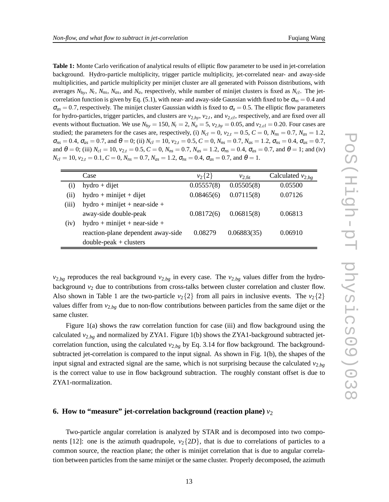**Table 1:** Monte Carlo verification of analytical results of elliptic flow parameter to be used in jet-correlation background. Hydro-particle multiplicity, trigger particle multiplicity, jet-correlated near- and away-side multiplicities, and particle multiplicity per minijet cluster are all generated with Poisson distributions, with averages *Nhy*, *N<sup>t</sup>* , *Nns*, *Nas*, and *Na*, respectively, while number of minijet clusters is fixed as *Ncl*. The jetcorrelation function is given by Eq. (5.1), with near- and away-side Gaussian width fixed to be  $\sigma_{ns} = 0.4$  and  $\sigma_{as} = 0.7$ , respectively. The minijet cluster Gaussian width is fixed to  $\sigma_a = 0.5$ . The elliptic flow parameters for hydro-particles, trigger particles, and clusters are *v*2,*hy*, *v*2,*<sup>t</sup>* , and *v*2,*cl*, respectively, and are fixed over all events without fluctuation. We use  $N_{hv} = 150$ ,  $N_t = 2$ ,  $N_a = 5$ ,  $v_{2,hy} = 0.05$ , and  $v_{2,cl} = 0.20$ . Four cases are studied; the parameters for the cases are, respectively, (i)  $N_{cl} = 0$ ,  $v_{2,t} = 0.5$ ,  $C = 0$ ,  $N_{ns} = 0.7$ ,  $N_{as} = 1.2$ ,  $\sigma_{ns} = 0.4$ ,  $\sigma_{as} = 0.7$ , and  $\theta = 0$ ; (ii)  $N_{cl} = 10$ ,  $v_{2,l} = 0.5$ ,  $C = 0$ ,  $N_{ns} = 0.7$ ,  $N_{as} = 1.2$ ,  $\sigma_{ns} = 0.4$ ,  $\sigma_{as} = 0.7$ , and  $\theta = 0$ ; (iii)  $N_{cl} = 10$ ,  $v_{2,t} = 0.5$ ,  $C = 0$ ,  $N_{ns} = 0.7$ ,  $N_{as} = 1.2$ ,  $\sigma_{ns} = 0.4$ ,  $\sigma_{as} = 0.7$ , and  $\theta = 1$ ; and (iv)  $N_{cl} = 10$ ,  $v_{2,t} = 0.1$ ,  $C = 0$ ,  $N_{ns} = 0.7$ ,  $N_{as} = 1.2$ ,  $\sigma_{ns} = 0.4$ ,  $\sigma_{as} = 0.7$ , and  $\theta = 1$ .

|                    | Case                               | $v_2\{2\}$ | $v_{2,fit}$ | Calculated $v_{2,bg}$ |
|--------------------|------------------------------------|------------|-------------|-----------------------|
| $\left( 1 \right)$ | $hydro + dijet$                    | 0.05557(8) | 0.05505(8)  | 0.05500               |
| (i)                | $hydro + minijet + dijet$          | 0.08465(6) | 0.07115(8)  | 0.07126               |
| (iii)              | $hydro + minijet + near-side +$    |            |             |                       |
|                    | away-side double-peak              | 0.08172(6) | 0.06815(8)  | 0.06813               |
| (iv)               | $hydro + minijet + near-side +$    |            |             |                       |
|                    | reaction-plane dependent away-side | 0.08279    | 0.06883(35) | 0.06910               |
|                    | $double-peak + clusters$           |            |             |                       |

 $v_{2,bg}$  reproduces the real background  $v_{2,bg}$  in every case. The  $v_{2,bg}$  values differ from the hydrobackground  $v_2$  due to contributions from cross-talks between cluster correlation and cluster flow. Also shown in Table 1 are the two-particle  $v_2\{2\}$  from all pairs in inclusive events. The  $v_2\{2\}$ values differ from *v*2,*bg* due to non-flow contributions between particles from the same dijet or the same cluster.

Figure 1(a) shows the raw correlation function for case (iii) and flow background using the calculated  $v_{2,bg}$  and normalized by ZYA1. Figure 1(b) shows the ZYA1-background subtracted jetcorrelation function, using the calculated  $v_{2,bg}$  by Eq. 3.14 for flow background. The backgroundsubtracted jet-correlation is compared to the input signal. As shown in Fig. 1(b), the shapes of the input signal and extracted signal are the same, which is not surprising because the calculated  $v_{2,bg}$ is the correct value to use in flow background subtraction. The roughly constant offset is due to ZYA1-normalization.

#### **6. How to "measure" jet-correlation background (reaction plane)**  $v_2$

Two-particle angular correlation is analyzed by STAR and is decomposed into two components [12]: one is the azimuth quadrupole,  $v_2$ {2*D*}, that is due to correlations of particles to a common source, the reaction plane; the other is minijet correlation that is due to angular correlation between particles from the same minijet or the same cluster. Properly decomposed, the azimuth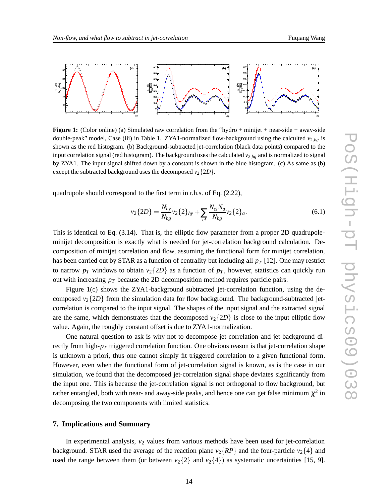

**Figure 1:** (Color online) (a) Simulated raw correlation from the "hydro + minijet + near-side + away-side double-peak" model, Case (iii) in Table 1. ZYA1-normalized flow-background using the calculted  $v_{2,bg}$  is shown as the red histogram. (b) Background-subtracted jet-correlation (black data points) compared to the input correlation signal (red histogram). The background uses the calculated *v*2,*bg* and is normalized to signal by ZYA1. The input signal shifted down by a constant is shown in the blue histogram. (c) As same as (b) except the subtracted background uses the decomposed  $v_2$ {2*D*}.

quadrupole should correspond to the first term in r.h.s. of Eq. (2.22),

$$
v_2\{2D\} = \frac{N_{hy}}{N_{bg}} v_2\{2\}_{hy} + \sum_{cl} \frac{N_{cl}N_a}{N_{bg}} v_2\{2\}_a.
$$
 (6.1)

This is identical to Eq.  $(3.14)$ . That is, the elliptic flow parameter from a proper 2D quadrupoleminijet decomposition is exactly what is needed for jet-correlation background calculation. Decomposition of minijet correlation and flow, assuming the functional form for minijet correlation, has been carried out by STAR as a function of centrality but including all *p<sup>T</sup>* [12]. One may restrict to narrow  $p_T$  windows to obtain  $v_2\{2D\}$  as a function of  $p_T$ , however, statistics can quickly run out with increasing *p<sup>T</sup>* because the 2D decomposition method requires particle pairs.

Figure 1(c) shows the ZYA1-background subtracted jet-correlation function, using the decomposed  $v_2$ {2*D*} from the simulation data for flow background. The background-subtracted jetcorrelation is compared to the input signal. The shapes of the input signal and the extracted signal are the same, which demonstrates that the decomposed  $v_2$ {2*D*} is close to the input elliptic flow value. Again, the roughly constant offset is due to ZYA1-normalization.

One natural question to ask is why not to decompose jet-correlation and jet-background directly from high- $p<sub>T</sub>$  triggered correlation function. One obvious reason is that jet-correlation shape is unknown a priori, thus one cannot simply fit triggered correlation to a given functional form. However, even when the functional form of jet-correlation signal is known, as is the case in our simulation, we found that the decomposed jet-correlation signal shape deviates significantly from the input one. This is because the jet-correlation signal is not orthogonal to flow background, but rather entangled, both with near- and away-side peaks, and hence one can get false minimum  $\chi^2$  in decomposing the two components with limited statistics.

#### **7. Implications and Summary**

In experimental analysis,  $v_2$  values from various methods have been used for jet-correlation background. STAR used the average of the reaction plane  $v_2$ { $RP$ } and the four-particle  $v_2$ {4} and used the range between them (or between  $v_2\{2\}$  and  $v_2\{4\}$ ) as systematic uncertainties [15, 9].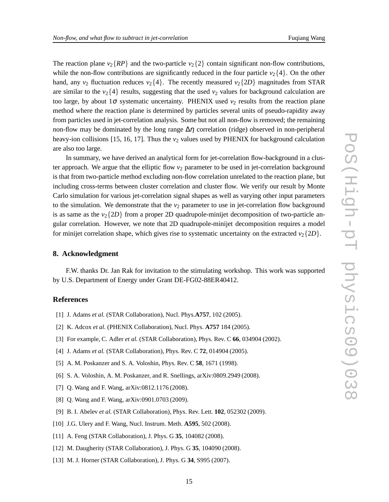The reaction plane  $v_2$ { $RP$ } and the two-particle  $v_2$ {2} contain significant non-flow contributions, while the non-flow contributions are significantly reduced in the four particle  $v_2\{4\}$ . On the other hand, any  $v_2$  fluctuation reduces  $v_2\{4\}$ . The recently measured  $v_2\{2D\}$  magnitudes from STAR are similar to the  $v_2$ {4} results, suggesting that the used  $v_2$  values for background calculation are too large, by about  $1\sigma$  systematic uncertainty. PHENIX used  $v_2$  results from the reaction plane method where the reaction plane is determined by particles several units of pseudo-rapidity away from particles used in jet-correlation analysis. Some but not all non-flow is removed; the remaining non-flow may be dominated by the long range  $\Delta \eta$  correlation (ridge) observed in non-peripheral heavy-ion collisions [15, 16, 17]. Thus the  $v_2$  values used by PHENIX for background calculation are also too large.

In summary, we have derived an analytical form for jet-correlation flow-background in a cluster approach. We argue that the elliptic flow  $v_2$  parameter to be used in jet-correlation background is that from two-particle method excluding non-flow correlation unrelated to the reaction plane, but including cross-terms between cluster correlation and cluster flow. We verify our result by Monte Carlo simulation for various jet-correlation signal shapes as well as varying other input parameters to the simulation. We demonstrate that the  $v_2$  parameter to use in jet-correlation flow background is as same as the  $v_2$ {2*D*} from a proper 2D quadrupole-minijet decomposition of two-particle angular correlation. However, we note that 2D quadrupole-minijet decomposition requires a model for minijet correlation shape, which gives rise to systematic uncertainty on the extracted  $v_2$ {2*D*}.

#### **8. Acknowledgment**

F.W. thanks Dr. Jan Rak for invitation to the stimulating workshop. This work was supported by U.S. Department of Energy under Grant DE-FG02-88ER40412.

# **References**

- [1] J. Adams *et al.* (STAR Collaboration), Nucl. Phys.**A757**, 102 (2005).
- [2] K. Adcox *et al.* (PHENIX Collaboration), Nucl. Phys. **A757** 184 (2005).
- [3] For example, C. Adler *et al.* (STAR Collaboration), Phys. Rev. C **66**, 034904 (2002).
- [4] J. Adams *et al.* (STAR Collaboration), Phys. Rev. C **72**, 014904 (2005).
- [5] A. M. Poskanzer and S. A. Voloshin, Phys. Rev. C **58**, 1671 (1998).
- [6] S. A. Voloshin, A. M. Poskanzer, and R. Snellings, arXiv:0809.2949 (2008).
- [7] Q. Wang and F. Wang, arXiv:0812.1176 (2008).
- [8] Q. Wang and F. Wang, arXiv:0901.0703 (2009).
- [9] B. I. Abelev *et al.* (STAR Collaboration), Phys. Rev. Lett. **102**, 052302 (2009).
- [10] J.G. Ulery and F. Wang, Nucl. Instrum. Meth. **A595**, 502 (2008).
- [11] A. Feng (STAR Collaboration), J. Phys. G **35**, 104082 (2008).
- [12] M. Daugherity (STAR Collaboration), J. Phys. G **35**, 104090 (2008).
- [13] M. J. Horner (STAR Collaboration), J. Phys. G **34**, S995 (2007).